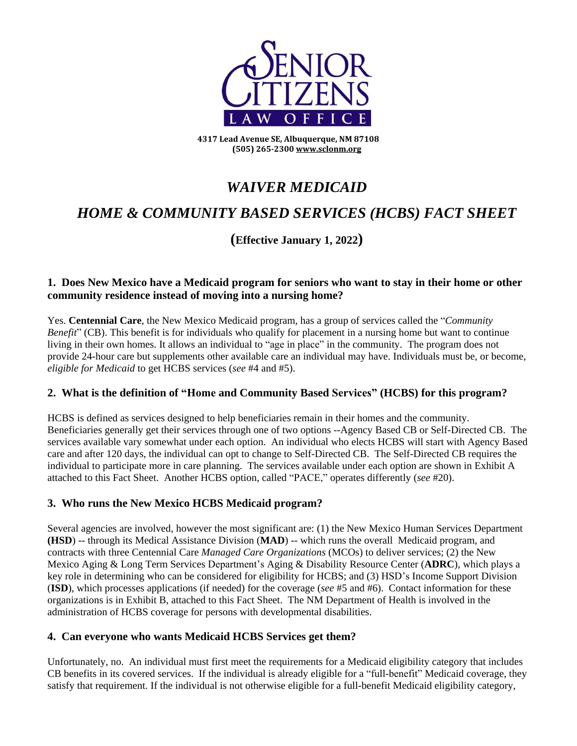

**4317 Lead Avenue SE, Albuquerque, NM 87108 (505) 265-230[0 www.sclonm.org](http://www.sclonm.org/)**

# *WAIVER MEDICAID*

# *HOME & COMMUNITY BASED SERVICES (HCBS) FACT SHEET*

## **(Effective January 1, 2022)**

#### **1. Does New Mexico have a Medicaid program for seniors who want to stay in their home or other community residence instead of moving into a nursing home?**

Yes. **Centennial Care**, the New Mexico Medicaid program*,* has a group of services called the "*Community Benefit*" (CB). This benefit is for individuals who qualify for placement in a nursing home but want to continue living in their own homes. It allows an individual to "age in place" in the community. The program does not provide 24-hour care but supplements other available care an individual may have. Individuals must be, or become, *eligible for Medicaid* to get HCBS services (*see* #4 and #5).

#### **2. What is the definition of "Home and Community Based Services" (HCBS) for this program?**

HCBS is defined as services designed to help beneficiaries remain in their homes and the community. Beneficiaries generally get their services through one of two options --Agency Based CB or Self-Directed CB. The services available vary somewhat under each option. An individual who elects HCBS will start with Agency Based care and after 120 days, the individual can opt to change to Self-Directed CB. The Self-Directed CB requires the individual to participate more in care planning. The services available under each option are shown in Exhibit A attached to this Fact Sheet. Another HCBS option, called "PACE," operates differently (*see* #20).

## **3. Who runs the New Mexico HCBS Medicaid program?**

Several agencies are involved, however the most significant are: (1) the New Mexico Human Services Department **(HSD**) -- through its Medical Assistance Division (**MAD**) -- which runs the overall Medicaid program, and contracts with three Centennial Care *Managed Care Organizations* (MCOs) to deliver services; (2) the New Mexico Aging & Long Term Services Department's Aging & Disability Resource Center (**ADRC**), which plays a key role in determining who can be considered for eligibility for HCBS; and (3) HSD's Income Support Division (**ISD**), which processes applications (if needed) for the coverage (*see* #5 and #6). Contact information for these organizations is in Exhibit B, attached to this Fact Sheet. The NM Department of Health is involved in the administration of HCBS coverage for persons with developmental disabilities.

#### **4. Can everyone who wants Medicaid HCBS Services get them?**

Unfortunately, no. An individual must first meet the requirements for a Medicaid eligibility category that includes CB benefits in its covered services. If the individual is already eligible for a "full-benefit" Medicaid coverage, they satisfy that requirement. If the individual is not otherwise eligible for a full-benefit Medicaid eligibility category,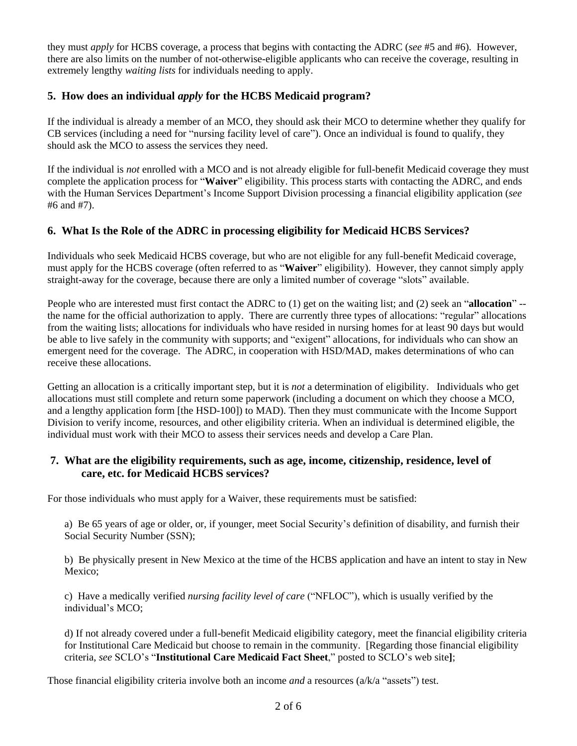they must *apply* for HCBS coverage, a process that begins with contacting the ADRC (*see* #5 and #6). However, there are also limits on the number of not-otherwise-eligible applicants who can receive the coverage, resulting in extremely lengthy *waiting lists* for individuals needing to apply.

## **5. How does an individual** *apply* **for the HCBS Medicaid program?**

If the individual is already a member of an MCO, they should ask their MCO to determine whether they qualify for CB services (including a need for "nursing facility level of care"). Once an individual is found to qualify, they should ask the MCO to assess the services they need.

If the individual is *not* enrolled with a MCO and is not already eligible for full-benefit Medicaid coverage they must complete the application process for "**Waiver**" eligibility. This process starts with contacting the ADRC, and ends with the Human Services Department's Income Support Division processing a financial eligibility application (*see* #6 and #7).

## **6. What Is the Role of the ADRC in processing eligibility for Medicaid HCBS Services?**

Individuals who seek Medicaid HCBS coverage, but who are not eligible for any full-benefit Medicaid coverage, must apply for the HCBS coverage (often referred to as "**Waiver**" eligibility). However, they cannot simply apply straight-away for the coverage, because there are only a limited number of coverage "slots" available.

People who are interested must first contact the ADRC to (1) get on the waiting list; and (2) seek an "**allocation**" - the name for the official authorization to apply. There are currently three types of allocations: "regular" allocations from the waiting lists; allocations for individuals who have resided in nursing homes for at least 90 days but would be able to live safely in the community with supports; and "exigent" allocations, for individuals who can show an emergent need for the coverage. The ADRC, in cooperation with HSD/MAD, makes determinations of who can receive these allocations.

Getting an allocation is a critically important step, but it is *not* a determination of eligibility. Individuals who get allocations must still complete and return some paperwork (including a document on which they choose a MCO, and a lengthy application form [the HSD-100]) to MAD). Then they must communicate with the Income Support Division to verify income, resources, and other eligibility criteria. When an individual is determined eligible, the individual must work with their MCO to assess their services needs and develop a Care Plan.

#### **7. What are the eligibility requirements, such as age, income, citizenship, residence, level of care, etc. for Medicaid HCBS services?**

For those individuals who must apply for a Waiver, these requirements must be satisfied:

a) Be 65 years of age or older, or, if younger, meet Social Security's definition of disability, and furnish their Social Security Number (SSN);

b) Be physically present in New Mexico at the time of the HCBS application and have an intent to stay in New Mexico;

c) Have a medically verified *nursing facility level of care* ("NFLOC"), which is usually verified by the individual's MCO;

d) If not already covered under a full-benefit Medicaid eligibility category, meet the financial eligibility criteria for Institutional Care Medicaid but choose to remain in the community. [Regarding those financial eligibility criteria, *see* SCLO's "**Institutional Care Medicaid Fact Sheet**," posted to SCLO's web site**]**;

Those financial eligibility criteria involve both an income *and* a resources (a/k/a "assets") test.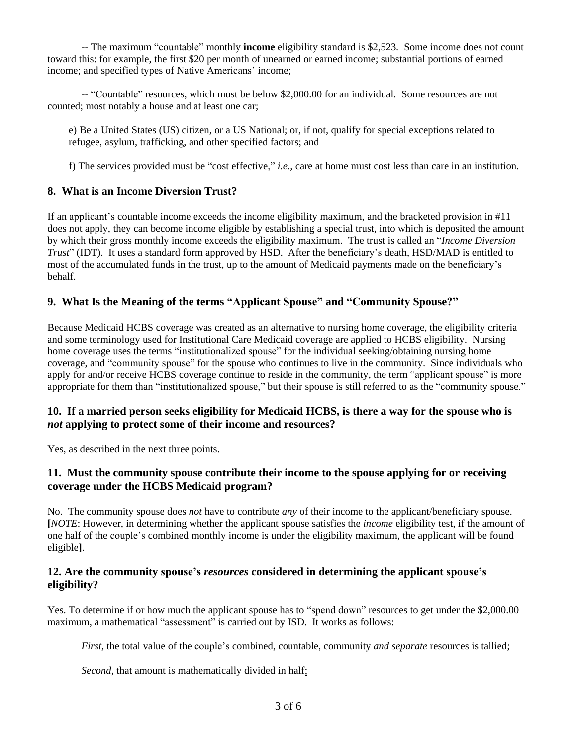-- The maximum "countable" monthly **income** eligibility standard is \$2,523*.* Some income does not count toward this: for example, the first \$20 per month of unearned or earned income; substantial portions of earned income; and specified types of Native Americans' income;

 -- "Countable" resources, which must be below \$2,000.00 for an individual. Some resources are not counted; most notably a house and at least one car;

e) Be a United States (US) citizen, or a US National; or, if not, qualify for special exceptions related to refugee, asylum, trafficking, and other specified factors; and

f) The services provided must be "cost effective," *i.e.,* care at home must cost less than care in an institution.

#### **8. What is an Income Diversion Trust?**

If an applicant's countable income exceeds the income eligibility maximum, and the bracketed provision in #11 does not apply, they can become income eligible by establishing a special trust, into which is deposited the amount by which their gross monthly income exceeds the eligibility maximum. The trust is called an "*Income Diversion Trust*" (IDT). It uses a standard form approved by HSD. After the beneficiary's death, HSD/MAD is entitled to most of the accumulated funds in the trust, up to the amount of Medicaid payments made on the beneficiary's behalf.

#### **9. What Is the Meaning of the terms "Applicant Spouse" and "Community Spouse?"**

Because Medicaid HCBS coverage was created as an alternative to nursing home coverage, the eligibility criteria and some terminology used for Institutional Care Medicaid coverage are applied to HCBS eligibility. Nursing home coverage uses the terms "institutionalized spouse" for the individual seeking/obtaining nursing home coverage, and "community spouse" for the spouse who continues to live in the community. Since individuals who apply for and/or receive HCBS coverage continue to reside in the community, the term "applicant spouse" is more appropriate for them than "institutionalized spouse," but their spouse is still referred to as the "community spouse."

#### **10. If a married person seeks eligibility for Medicaid HCBS, is there a way for the spouse who is** *not* **applying to protect some of their income and resources?**

Yes, as described in the next three points.

#### **11. Must the community spouse contribute their income to the spouse applying for or receiving coverage under the HCBS Medicaid program?**

No. The community spouse does *not* have to contribute *any* of their income to the applicant/beneficiary spouse. **[***NOTE*: However, in determining whether the applicant spouse satisfies the *income* eligibility test, if the amount of one half of the couple's combined monthly income is under the eligibility maximum, the applicant will be found eligible**]**.

#### **12. Are the community spouse's** *resources* **considered in determining the applicant spouse's eligibility?**

Yes. To determine if or how much the applicant spouse has to "spend down" resources to get under the \$2,000.00 maximum, a mathematical "assessment" is carried out by ISD. It works as follows:

*First,* the total value of the couple's combined, countable, community *and separate* resources is tallied;

*Second*, that amount is mathematically divided in half;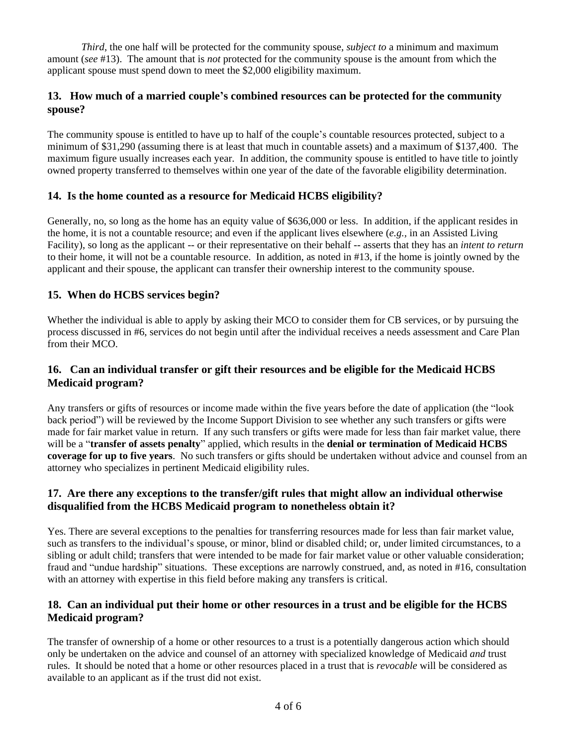*Third*, the one half will be protected for the community spouse, *subject to* a minimum and maximum amount (*see* #13). The amount that is *not* protected for the community spouse is the amount from which the applicant spouse must spend down to meet the \$2,000 eligibility maximum.

## **13. How much of a married couple's combined resources can be protected for the community spouse?**

The community spouse is entitled to have up to half of the couple's countable resources protected, subject to a minimum of \$31,290 (assuming there is at least that much in countable assets) and a maximum of \$137,400. The maximum figure usually increases each year. In addition, the community spouse is entitled to have title to jointly owned property transferred to themselves within one year of the date of the favorable eligibility determination.

## **14. Is the home counted as a resource for Medicaid HCBS eligibility?**

Generally, no, so long as the home has an equity value of \$636,000 or less. In addition, if the applicant resides in the home, it is not a countable resource; and even if the applicant lives elsewhere (*e.g.,* in an Assisted Living Facility), so long as the applicant -- or their representative on their behalf -- asserts that they has an *intent to return* to their home, it will not be a countable resource. In addition, as noted in #13, if the home is jointly owned by the applicant and their spouse, the applicant can transfer their ownership interest to the community spouse.

## **15. When do HCBS services begin?**

Whether the individual is able to apply by asking their MCO to consider them for CB services, or by pursuing the process discussed in #6, services do not begin until after the individual receives a needs assessment and Care Plan from their MCO.

## **16. Can an individual transfer or gift their resources and be eligible for the Medicaid HCBS Medicaid program?**

Any transfers or gifts of resources or income made within the five years before the date of application (the "look back period") will be reviewed by the Income Support Division to see whether any such transfers or gifts were made for fair market value in return. If any such transfers or gifts were made for less than fair market value, there will be a "**transfer of assets penalty**" applied, which results in the **denial or termination of Medicaid HCBS coverage for up to five years**. No such transfers or gifts should be undertaken without advice and counsel from an attorney who specializes in pertinent Medicaid eligibility rules.

## **17. Are there any exceptions to the transfer/gift rules that might allow an individual otherwise disqualified from the HCBS Medicaid program to nonetheless obtain it?**

Yes. There are several exceptions to the penalties for transferring resources made for less than fair market value, such as transfers to the individual's spouse, or minor, blind or disabled child; or, under limited circumstances, to a sibling or adult child; transfers that were intended to be made for fair market value or other valuable consideration; fraud and "undue hardship" situations. These exceptions are narrowly construed, and, as noted in #16, consultation with an attorney with expertise in this field before making any transfers is critical.

## **18. Can an individual put their home or other resources in a trust and be eligible for the HCBS Medicaid program?**

The transfer of ownership of a home or other resources to a trust is a potentially dangerous action which should only be undertaken on the advice and counsel of an attorney with specialized knowledge of Medicaid *and* trust rules. It should be noted that a home or other resources placed in a trust that is *revocable* will be considered as available to an applicant as if the trust did not exist.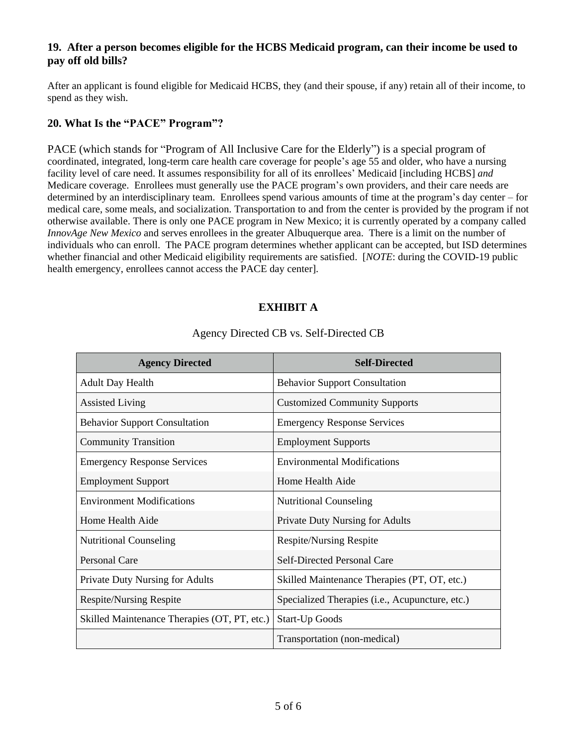## **19. After a person becomes eligible for the HCBS Medicaid program, can their income be used to pay off old bills?**

After an applicant is found eligible for Medicaid HCBS, they (and their spouse, if any) retain all of their income, to spend as they wish.

## **20. What Is the "PACE" Program"?**

PACE (which stands for "Program of All Inclusive Care for the Elderly") is a special program of coordinated, integrated, long-term care health care coverage for people's age 55 and older, who have a nursing facility level of care need. It assumes responsibility for all of its enrollees' Medicaid [including HCBS] *and* Medicare coverage. Enrollees must generally use the PACE program's own providers, and their care needs are determined by an interdisciplinary team. Enrollees spend various amounts of time at the program's day center – for medical care, some meals, and socialization. Transportation to and from the center is provided by the program if not otherwise available. There is only one PACE program in New Mexico; it is currently operated by a company called *InnovAge New Mexico* and serves enrollees in the greater Albuquerque area. There is a limit on the number of individuals who can enroll. The PACE program determines whether applicant can be accepted, but ISD determines whether financial and other Medicaid eligibility requirements are satisfied. [*NOTE*: during the COVID-19 public health emergency, enrollees cannot access the PACE day center].

## **EXHIBIT A**

| <b>Agency Directed</b>                       | <b>Self-Directed</b>                            |
|----------------------------------------------|-------------------------------------------------|
| <b>Adult Day Health</b>                      | <b>Behavior Support Consultation</b>            |
| <b>Assisted Living</b>                       | <b>Customized Community Supports</b>            |
| <b>Behavior Support Consultation</b>         | <b>Emergency Response Services</b>              |
| <b>Community Transition</b>                  | <b>Employment Supports</b>                      |
| <b>Emergency Response Services</b>           | <b>Environmental Modifications</b>              |
| <b>Employment Support</b>                    | Home Health Aide                                |
| <b>Environment Modifications</b>             | <b>Nutritional Counseling</b>                   |
| Home Health Aide                             | Private Duty Nursing for Adults                 |
| <b>Nutritional Counseling</b>                | <b>Respite/Nursing Respite</b>                  |
| <b>Personal Care</b>                         | Self-Directed Personal Care                     |
| Private Duty Nursing for Adults              | Skilled Maintenance Therapies (PT, OT, etc.)    |
| <b>Respite/Nursing Respite</b>               | Specialized Therapies (i.e., Acupuncture, etc.) |
| Skilled Maintenance Therapies (OT, PT, etc.) | <b>Start-Up Goods</b>                           |
|                                              | Transportation (non-medical)                    |

#### Agency Directed CB vs. Self-Directed CB